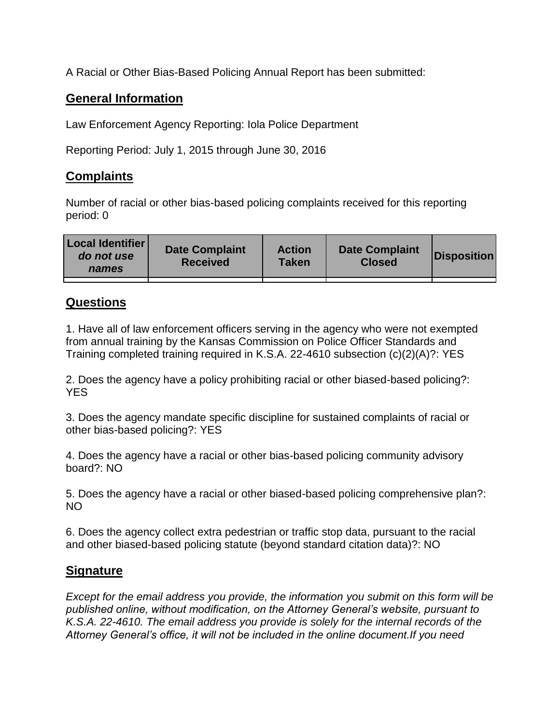A Racial or Other Bias-Based Policing Annual Report has been submitted:

## **General Information**

Law Enforcement Agency Reporting: Iola Police Department

Reporting Period: July 1, 2015 through June 30, 2016

## **Complaints**

Number of racial or other bias-based policing complaints received for this reporting period: 0

| <b>Local Identifier</b><br>do not use<br>names | <b>Date Complaint</b><br><b>Received</b> | <b>Action</b><br><b>Taken</b> | <b>Date Complaint</b><br><b>Closed</b> | Disposition |
|------------------------------------------------|------------------------------------------|-------------------------------|----------------------------------------|-------------|
|                                                |                                          |                               |                                        |             |

## **Questions**

1. Have all of law enforcement officers serving in the agency who were not exempted from annual training by the Kansas Commission on Police Officer Standards and Training completed training required in K.S.A. 22-4610 subsection (c)(2)(A)?: YES

2. Does the agency have a policy prohibiting racial or other biased-based policing?: YES

3. Does the agency mandate specific discipline for sustained complaints of racial or other bias-based policing?: YES

4. Does the agency have a racial or other bias-based policing community advisory board?: NO

5. Does the agency have a racial or other biased-based policing comprehensive plan?: NO

6. Does the agency collect extra pedestrian or traffic stop data, pursuant to the racial and other biased-based policing statute (beyond standard citation data)?: NO

## **Signature**

*Except for the email address you provide, the information you submit on this form will be published online, without modification, on the Attorney General's website, pursuant to K.S.A. 22-4610. The email address you provide is solely for the internal records of the Attorney General's office, it will not be included in the online document.If you need*